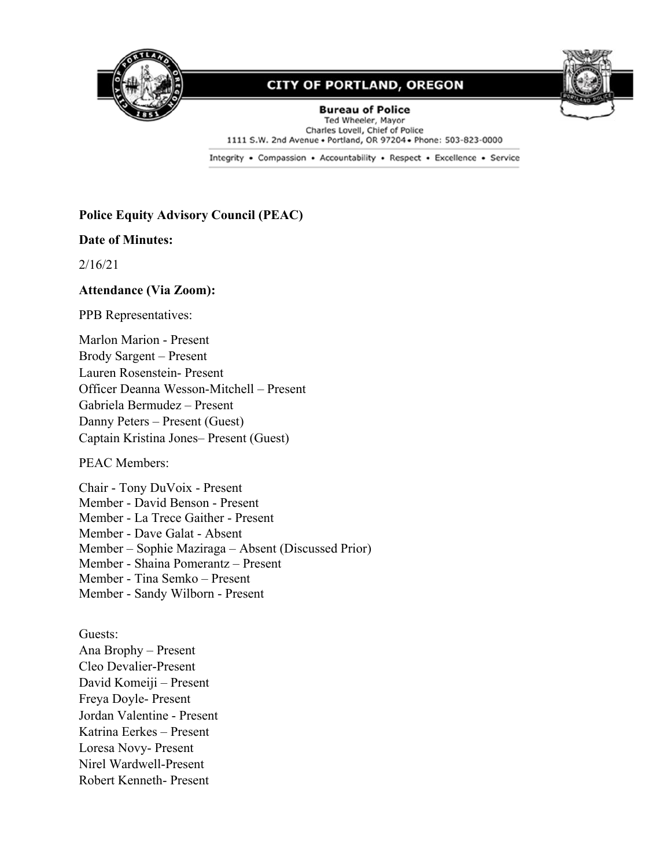



**Bureau of Police** Ted Wheeler, Mayor Charles Lovell, Chief of Police 1111 S.W. 2nd Avenue . Portland, OR 97204 . Phone: 503-823-0000

Integrity . Compassion . Accountability . Respect . Excellence . Service

#### **Police Equity Advisory Council (PEAC)**

#### **Date of Minutes:**

2/16/21

#### **Attendance (Via Zoom):**

PPB Representatives:

Marlon Marion - Present Brody Sargent – Present Lauren Rosenstein- Present Officer Deanna Wesson-Mitchell – Present Gabriela Bermudez – Present Danny Peters – Present (Guest) Captain Kristina Jones– Present (Guest)

PEAC Members:

Chair - Tony DuVoix - Present Member - David Benson - Present Member - La Trece Gaither - Present Member - Dave Galat - Absent Member – Sophie Maziraga – Absent (Discussed Prior) Member - Shaina Pomerantz – Present Member - Tina Semko – Present Member - Sandy Wilborn - Present

Guests: Ana Brophy – Present Cleo Devalier-Present David Komeiji – Present Freya Doyle- Present Jordan Valentine - Present Katrina Eerkes – Present Loresa Novy- Present Nirel Wardwell-Present Robert Kenneth- Present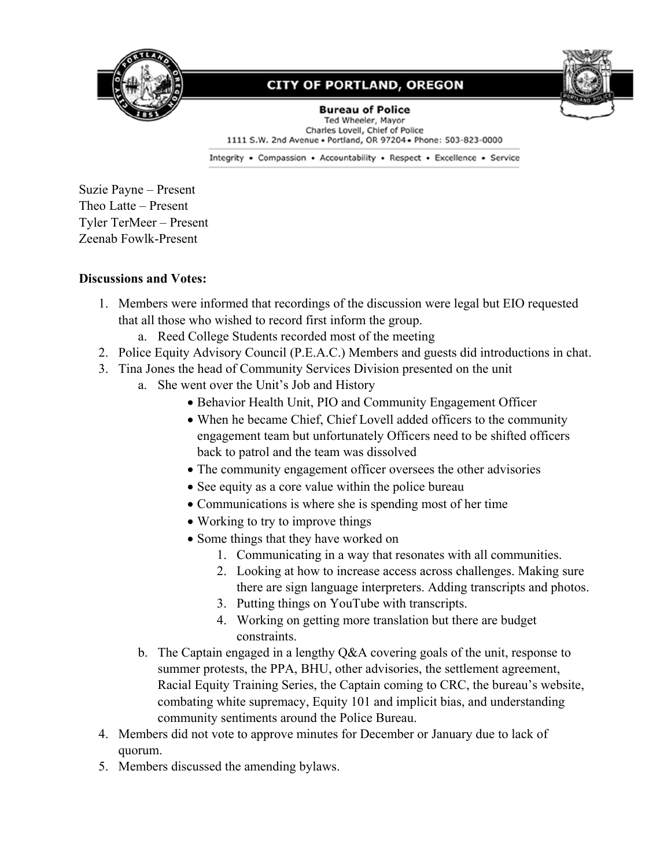



**Bureau of Police** Ted Wheeler, Mayor Charles Lovell, Chief of Police 1111 S.W. 2nd Avenue . Portland, OR 97204 . Phone: 503-823-0000

Integrity . Compassion . Accountability . Respect . Excellence . Service

Suzie Payne – Present Theo Latte – Present Tyler TerMeer – Present Zeenab Fowlk-Present

#### **Discussions and Votes:**

- 1. Members were informed that recordings of the discussion were legal but EIO requested that all those who wished to record first inform the group.
	- a. Reed College Students recorded most of the meeting
- 2. Police Equity Advisory Council (P.E.A.C.) Members and guests did introductions in chat.
- 3. Tina Jones the head of Community Services Division presented on the unit
	- a. She went over the Unit's Job and History
		- Behavior Health Unit, PIO and Community Engagement Officer
		- When he became Chief, Chief Lovell added officers to the community engagement team but unfortunately Officers need to be shifted officers back to patrol and the team was dissolved
		- The community engagement officer oversees the other advisories
		- See equity as a core value within the police bureau
		- Communications is where she is spending most of her time
		- Working to try to improve things
		- Some things that they have worked on
			- 1. Communicating in a way that resonates with all communities.
			- 2. Looking at how to increase access across challenges. Making sure there are sign language interpreters. Adding transcripts and photos.
			- 3. Putting things on YouTube with transcripts.
			- 4. Working on getting more translation but there are budget constraints.
	- b. The Captain engaged in a lengthy Q&A covering goals of the unit, response to summer protests, the PPA, BHU, other advisories, the settlement agreement, Racial Equity Training Series, the Captain coming to CRC, the bureau's website, combating white supremacy, Equity 101 and implicit bias, and understanding community sentiments around the Police Bureau.
- 4. Members did not vote to approve minutes for December or January due to lack of quorum.
- 5. Members discussed the amending bylaws.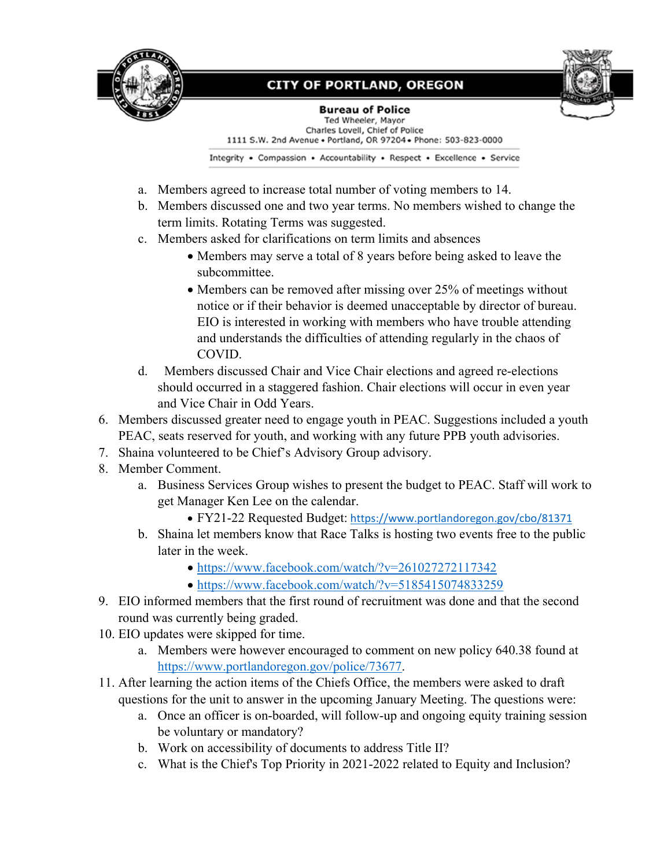



**Bureau of Police** Ted Wheeler, Mayor Charles Lovell, Chief of Police 1111 S.W. 2nd Avenue . Portland, OR 97204 . Phone: 503-823-0000

Integrity . Compassion . Accountability . Respect . Excellence . Service

- a. Members agreed to increase total number of voting members to 14.
- b. Members discussed one and two year terms. No members wished to change the term limits. Rotating Terms was suggested.
- c. Members asked for clarifications on term limits and absences
	- Members may serve a total of 8 years before being asked to leave the subcommittee.
	- Members can be removed after missing over 25% of meetings without notice or if their behavior is deemed unacceptable by director of bureau. EIO is interested in working with members who have trouble attending and understands the difficulties of attending regularly in the chaos of COVID.
- d. Members discussed Chair and Vice Chair elections and agreed re-elections should occurred in a staggered fashion. Chair elections will occur in even year and Vice Chair in Odd Years.
- 6. Members discussed greater need to engage youth in PEAC. Suggestions included a youth PEAC, seats reserved for youth, and working with any future PPB youth advisories.
- 7. Shaina volunteered to be Chief's Advisory Group advisory.
- 8. Member Comment.
	- a. Business Services Group wishes to present the budget to PEAC. Staff will work to get Manager Ken Lee on the calendar.
		- FY21-22 Requested Budget: <https://www.portlandoregon.gov/cbo/81371>
	- b. Shaina let members know that Race Talks is hosting two events free to the public later in the week.
		- <https://www.facebook.com/watch/?v=261027272117342>
		- <https://www.facebook.com/watch/?v=5185415074833259>
- 9. EIO informed members that the first round of recruitment was done and that the second round was currently being graded.
- 10. EIO updates were skipped for time.
	- a. Members were however encouraged to comment on new policy 640.38 found at [https://www.portlandoregon.gov/police/73677.](https://www.portlandoregon.gov/police/73677)
- 11. After learning the action items of the Chiefs Office, the members were asked to draft questions for the unit to answer in the upcoming January Meeting. The questions were:
	- a. Once an officer is on-boarded, will follow-up and ongoing equity training session be voluntary or mandatory?
	- b. Work on accessibility of documents to address Title II?
	- c. What is the Chief's Top Priority in 2021-2022 related to Equity and Inclusion?